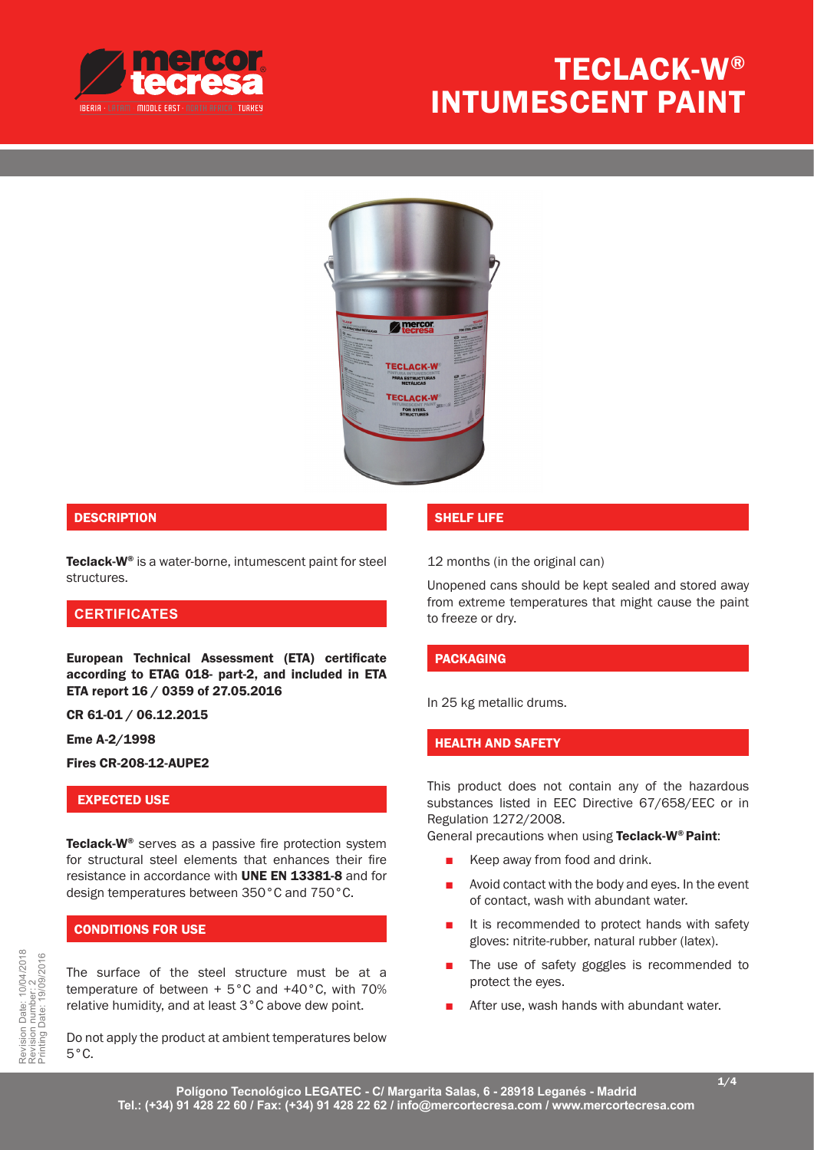





### **DESCRIPTION**

Teclack-W<sup>®</sup> is a water-borne, intumescent paint for steel structures.

#### **CERTIFICATES**

European Technical Assessment (ETA) certificate according to ETAG 018- part-2, and included in ETA ETA report 16 / 0359 of 27.05.2016

CR 61-01 / 06.12.2015

Eme A-2/1998

Fires CR-208-12-AUPE2

#### EXPECTED USE

Teclack-W<sup>®</sup> serves as a passive fire protection system for structural steel elements that enhances their fire resistance in accordance with **UNE EN 13381-8** and for design temperatures between 350°C and 750°C.

#### CONDITIONS FOR USE

The surface of the steel structure must be at a temperature of between + 5°C and +40°C, with 70% relative humidity, and at least 3°C above dew point.

Do not apply the product at ambient temperatures below 5°C.

### SHELF LIFE

12 months (in the original can)

Unopened cans should be kept sealed and stored away from extreme temperatures that might cause the paint to freeze or dry.

#### PACKAGING

In 25 kg metallic drums.

#### HEALTH AND SAFETY

This product does not contain any of the hazardous substances listed in EEC Directive 67/658/EEC or in Regulation 1272/2008.

General precautions when using Teclack-W® Paint:

- Keep away from food and drink.
- Avoid contact with the body and eyes. In the event of contact, wash with abundant water.
- It is recommended to protect hands with safety gloves: nitrite-rubber, natural rubber (latex).
- The use of safety goggles is recommended to protect the eyes.
- After use, wash hands with abundant water.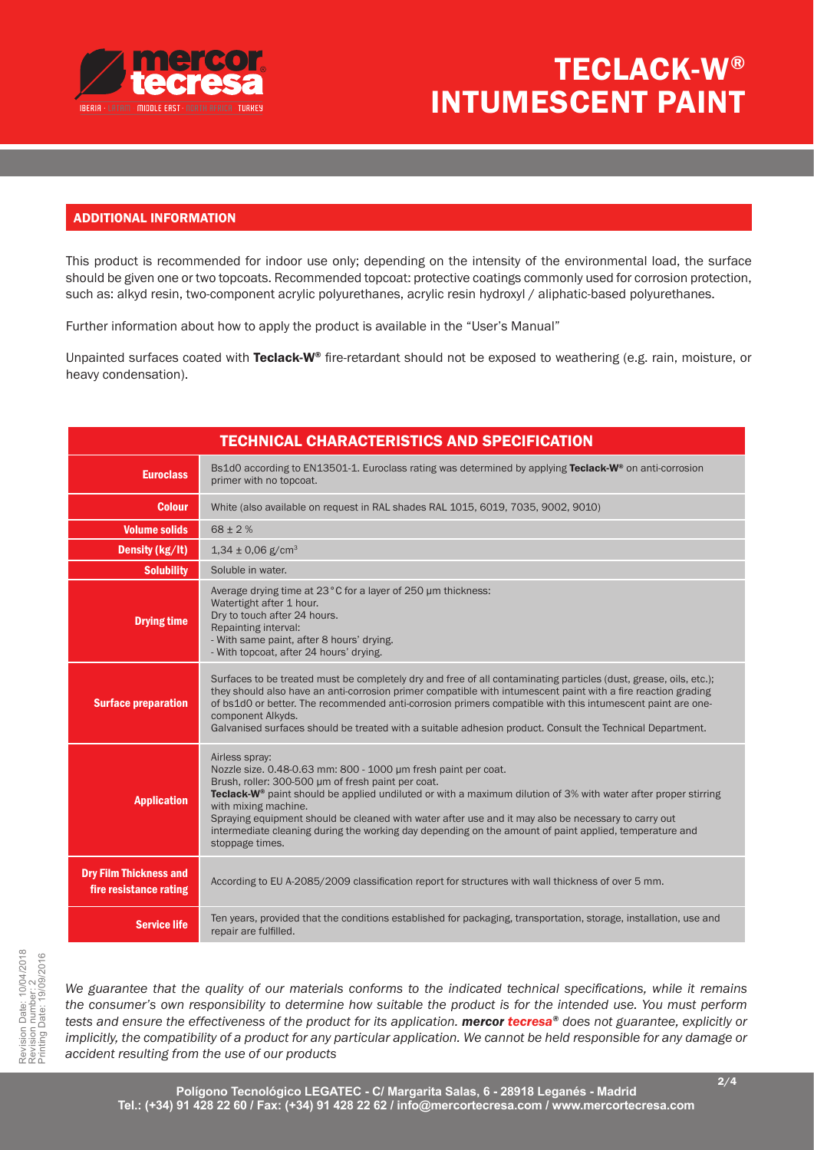

# TECLACK-W® INTUMESCENT PAINT

### ADDITIONAL INFORMATION

This product is recommended for indoor use only; depending on the intensity of the environmental load, the surface should be given one or two topcoats. Recommended topcoat: protective coatings commonly used for corrosion protection, such as: alkyd resin, two-component acrylic polyurethanes, acrylic resin hydroxyl / aliphatic-based polyurethanes.

Further information about how to apply the product is available in the "User's Manual"

Unpainted surfaces coated with Teclack-W<sup>®</sup> fire-retardant should not be exposed to weathering (e.g. rain, moisture, or heavy condensation).

| <b>TECHNICAL CHARACTERISTICS AND SPECIFICATION</b><br>Bs1d0 according to EN13501-1. Euroclass rating was determined by applying Teclack-W <sup>®</sup> on anti-corrosion<br><b>Euroclass</b><br>primer with no topcoat.<br><b>Colour</b><br>White (also available on request in RAL shades RAL 1015, 6019, 7035, 9002, 9010)<br><b>Volume solids</b><br>$68 \pm 2%$<br>$1,34 \pm 0.06$ g/cm <sup>3</sup><br>Density (kg/lt)<br><b>Solubility</b><br>Soluble in water.<br>Average drying time at 23°C for a layer of 250 µm thickness:<br>Watertight after 1 hour.<br>Dry to touch after 24 hours.<br><b>Drying time</b><br>Repainting interval:<br>- With same paint, after 8 hours' drying.<br>- With topcoat, after 24 hours' drying.<br>Surfaces to be treated must be completely dry and free of all contaminating particles (dust, grease, oils, etc.);<br>they should also have an anti-corrosion primer compatible with intumescent paint with a fire reaction grading<br><b>Surface preparation</b><br>of bs1d0 or better. The recommended anti-corrosion primers compatible with this intumescent paint are one-<br>component Alkyds.<br>Galvanised surfaces should be treated with a suitable adhesion product. Consult the Technical Department.<br>Airless spray:<br>Nozzle size. 0.48-0.63 mm: 800 - 1000 µm fresh paint per coat.<br>Brush, roller: 300-500 µm of fresh paint per coat.<br>Teclack-W <sup>®</sup> paint should be applied undiluted or with a maximum dilution of 3% with water after proper stirring<br><b>Application</b><br>with mixing machine.<br>Spraying equipment should be cleaned with water after use and it may also be necessary to carry out<br>intermediate cleaning during the working day depending on the amount of paint applied, temperature and<br>stoppage times.<br><b>Dry Film Thickness and</b><br>According to EU A-2085/2009 classification report for structures with wall thickness of over 5 mm.<br>fire resistance rating<br>Ten years, provided that the conditions established for packaging, transportation, storage, installation, use and<br><b>Service life</b><br>repair are fulfilled. |  |  |  |  |  |
|-------------------------------------------------------------------------------------------------------------------------------------------------------------------------------------------------------------------------------------------------------------------------------------------------------------------------------------------------------------------------------------------------------------------------------------------------------------------------------------------------------------------------------------------------------------------------------------------------------------------------------------------------------------------------------------------------------------------------------------------------------------------------------------------------------------------------------------------------------------------------------------------------------------------------------------------------------------------------------------------------------------------------------------------------------------------------------------------------------------------------------------------------------------------------------------------------------------------------------------------------------------------------------------------------------------------------------------------------------------------------------------------------------------------------------------------------------------------------------------------------------------------------------------------------------------------------------------------------------------------------------------------------------------------------------------------------------------------------------------------------------------------------------------------------------------------------------------------------------------------------------------------------------------------------------------------------------------------------------------------------------------------------------------------------------------------------------------------------------------------------------------------------------------|--|--|--|--|--|
|                                                                                                                                                                                                                                                                                                                                                                                                                                                                                                                                                                                                                                                                                                                                                                                                                                                                                                                                                                                                                                                                                                                                                                                                                                                                                                                                                                                                                                                                                                                                                                                                                                                                                                                                                                                                                                                                                                                                                                                                                                                                                                                                                             |  |  |  |  |  |
|                                                                                                                                                                                                                                                                                                                                                                                                                                                                                                                                                                                                                                                                                                                                                                                                                                                                                                                                                                                                                                                                                                                                                                                                                                                                                                                                                                                                                                                                                                                                                                                                                                                                                                                                                                                                                                                                                                                                                                                                                                                                                                                                                             |  |  |  |  |  |
|                                                                                                                                                                                                                                                                                                                                                                                                                                                                                                                                                                                                                                                                                                                                                                                                                                                                                                                                                                                                                                                                                                                                                                                                                                                                                                                                                                                                                                                                                                                                                                                                                                                                                                                                                                                                                                                                                                                                                                                                                                                                                                                                                             |  |  |  |  |  |
|                                                                                                                                                                                                                                                                                                                                                                                                                                                                                                                                                                                                                                                                                                                                                                                                                                                                                                                                                                                                                                                                                                                                                                                                                                                                                                                                                                                                                                                                                                                                                                                                                                                                                                                                                                                                                                                                                                                                                                                                                                                                                                                                                             |  |  |  |  |  |
|                                                                                                                                                                                                                                                                                                                                                                                                                                                                                                                                                                                                                                                                                                                                                                                                                                                                                                                                                                                                                                                                                                                                                                                                                                                                                                                                                                                                                                                                                                                                                                                                                                                                                                                                                                                                                                                                                                                                                                                                                                                                                                                                                             |  |  |  |  |  |
|                                                                                                                                                                                                                                                                                                                                                                                                                                                                                                                                                                                                                                                                                                                                                                                                                                                                                                                                                                                                                                                                                                                                                                                                                                                                                                                                                                                                                                                                                                                                                                                                                                                                                                                                                                                                                                                                                                                                                                                                                                                                                                                                                             |  |  |  |  |  |
|                                                                                                                                                                                                                                                                                                                                                                                                                                                                                                                                                                                                                                                                                                                                                                                                                                                                                                                                                                                                                                                                                                                                                                                                                                                                                                                                                                                                                                                                                                                                                                                                                                                                                                                                                                                                                                                                                                                                                                                                                                                                                                                                                             |  |  |  |  |  |
|                                                                                                                                                                                                                                                                                                                                                                                                                                                                                                                                                                                                                                                                                                                                                                                                                                                                                                                                                                                                                                                                                                                                                                                                                                                                                                                                                                                                                                                                                                                                                                                                                                                                                                                                                                                                                                                                                                                                                                                                                                                                                                                                                             |  |  |  |  |  |
|                                                                                                                                                                                                                                                                                                                                                                                                                                                                                                                                                                                                                                                                                                                                                                                                                                                                                                                                                                                                                                                                                                                                                                                                                                                                                                                                                                                                                                                                                                                                                                                                                                                                                                                                                                                                                                                                                                                                                                                                                                                                                                                                                             |  |  |  |  |  |
|                                                                                                                                                                                                                                                                                                                                                                                                                                                                                                                                                                                                                                                                                                                                                                                                                                                                                                                                                                                                                                                                                                                                                                                                                                                                                                                                                                                                                                                                                                                                                                                                                                                                                                                                                                                                                                                                                                                                                                                                                                                                                                                                                             |  |  |  |  |  |
|                                                                                                                                                                                                                                                                                                                                                                                                                                                                                                                                                                                                                                                                                                                                                                                                                                                                                                                                                                                                                                                                                                                                                                                                                                                                                                                                                                                                                                                                                                                                                                                                                                                                                                                                                                                                                                                                                                                                                                                                                                                                                                                                                             |  |  |  |  |  |

*We guarantee that the quality of our materials conforms to the indicated technical specifications, while it remains the consumer's own responsibility to determine how suitable the product is for the intended use. You must perform tests and ensure the effectiveness of the product for its application. mercor tecresa® does not guarantee, explicitly or implicitly, the compatibility of a product for any particular application. We cannot be held responsible for any damage or accident resulting from the use of our products*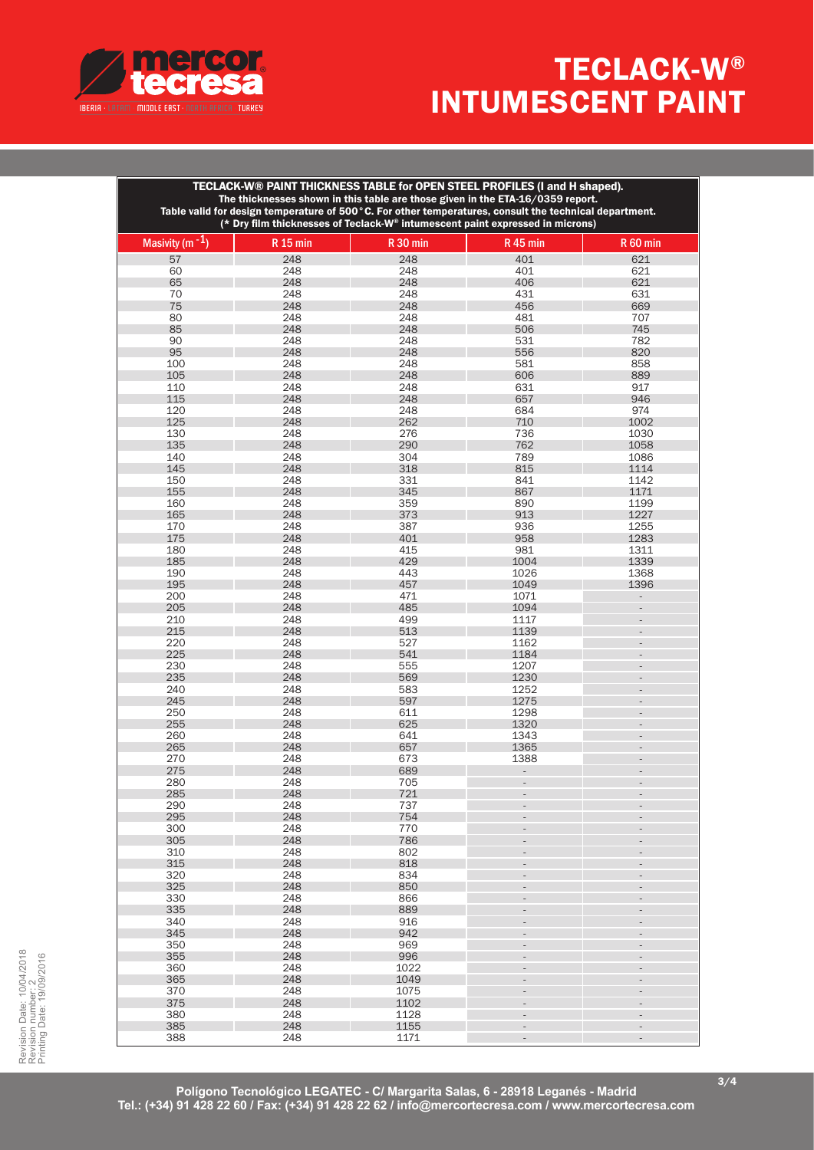# TECLACK-W® INTUMESCENT PAINT



| TECLACK-W® PAINT THICKNESS TABLE for OPEN STEEL PROFILES (I and H shaped).<br>The thicknesses shown in this table are those given in the ETA-16/0359 report.<br>Table valid for design temperature of 500°C. For other temperatures, consult the technical department.<br>(* Dry film thicknesses of Teclack-W® intumescent paint expressed in microns) |                 |                |                |                |  |  |  |  |  |
|---------------------------------------------------------------------------------------------------------------------------------------------------------------------------------------------------------------------------------------------------------------------------------------------------------------------------------------------------------|-----------------|----------------|----------------|----------------|--|--|--|--|--|
| Masivity (m $-1$ )                                                                                                                                                                                                                                                                                                                                      | <b>R</b> 15 min | <b>R30 min</b> | <b>R45 min</b> | $R$ 60 min     |  |  |  |  |  |
| 57                                                                                                                                                                                                                                                                                                                                                      | 248             | 248            | 401            | 621            |  |  |  |  |  |
|                                                                                                                                                                                                                                                                                                                                                         |                 |                |                |                |  |  |  |  |  |
| 60                                                                                                                                                                                                                                                                                                                                                      | 248             | 248            | 401            | 621            |  |  |  |  |  |
| 65                                                                                                                                                                                                                                                                                                                                                      | 248             | 248            | 406            | 621            |  |  |  |  |  |
| 70                                                                                                                                                                                                                                                                                                                                                      | 248             | 248            | 431            | 631            |  |  |  |  |  |
| 75                                                                                                                                                                                                                                                                                                                                                      | 248             | 248            | 456            | 669            |  |  |  |  |  |
|                                                                                                                                                                                                                                                                                                                                                         |                 |                |                |                |  |  |  |  |  |
| 80                                                                                                                                                                                                                                                                                                                                                      | 248             | 248            | 481            | 707            |  |  |  |  |  |
| 85                                                                                                                                                                                                                                                                                                                                                      | 248             | 248            | 506            | 745            |  |  |  |  |  |
| 90                                                                                                                                                                                                                                                                                                                                                      | 248             | 248            | 531            | 782            |  |  |  |  |  |
| 95                                                                                                                                                                                                                                                                                                                                                      | 248             | 248            | 556            | 820            |  |  |  |  |  |
| 100                                                                                                                                                                                                                                                                                                                                                     |                 |                |                | 858            |  |  |  |  |  |
|                                                                                                                                                                                                                                                                                                                                                         | 248             | 248            | 581            |                |  |  |  |  |  |
| 105                                                                                                                                                                                                                                                                                                                                                     | 248             | 248            | 606            | 889            |  |  |  |  |  |
| 110                                                                                                                                                                                                                                                                                                                                                     | 248             | 248            | 631            | 917            |  |  |  |  |  |
| 115                                                                                                                                                                                                                                                                                                                                                     | 248             | 248            | 657            | 946            |  |  |  |  |  |
| 120                                                                                                                                                                                                                                                                                                                                                     | 248             | 248            | 684            | 974            |  |  |  |  |  |
|                                                                                                                                                                                                                                                                                                                                                         |                 |                |                |                |  |  |  |  |  |
| 125                                                                                                                                                                                                                                                                                                                                                     | 248             | 262            | 710            | 1002           |  |  |  |  |  |
| 130                                                                                                                                                                                                                                                                                                                                                     | 248             | 276            | 736            | 1030           |  |  |  |  |  |
| 135                                                                                                                                                                                                                                                                                                                                                     | 248             | 290            | 762            | 1058           |  |  |  |  |  |
| 140                                                                                                                                                                                                                                                                                                                                                     | 248             | 304            | 789            | 1086           |  |  |  |  |  |
|                                                                                                                                                                                                                                                                                                                                                         | 248             |                |                | 1114           |  |  |  |  |  |
| 145                                                                                                                                                                                                                                                                                                                                                     |                 | 318            | 815            |                |  |  |  |  |  |
| 150                                                                                                                                                                                                                                                                                                                                                     | 248             | 331            | 841            | 1142           |  |  |  |  |  |
| 155                                                                                                                                                                                                                                                                                                                                                     | 248             | 345            | 867            | 1171           |  |  |  |  |  |
| 160                                                                                                                                                                                                                                                                                                                                                     | 248             | 359            | 890            | 1199           |  |  |  |  |  |
| 165                                                                                                                                                                                                                                                                                                                                                     | 248             | 373            | 913            | 1227           |  |  |  |  |  |
|                                                                                                                                                                                                                                                                                                                                                         |                 |                |                |                |  |  |  |  |  |
| 170                                                                                                                                                                                                                                                                                                                                                     | 248             | 387            | 936            | 1255           |  |  |  |  |  |
| 175                                                                                                                                                                                                                                                                                                                                                     | 248             | 401            | 958            | 1283           |  |  |  |  |  |
| 180                                                                                                                                                                                                                                                                                                                                                     | 248             | 415            | 981            | 1311           |  |  |  |  |  |
| 185                                                                                                                                                                                                                                                                                                                                                     | 248             | 429            | 1004           | 1339           |  |  |  |  |  |
|                                                                                                                                                                                                                                                                                                                                                         |                 |                |                |                |  |  |  |  |  |
| 190                                                                                                                                                                                                                                                                                                                                                     | 248             | 443            | 1026           | 1368           |  |  |  |  |  |
| 195                                                                                                                                                                                                                                                                                                                                                     | 248             | 457            | 1049           | 1396           |  |  |  |  |  |
| 200                                                                                                                                                                                                                                                                                                                                                     | 248             | 471            | 1071           |                |  |  |  |  |  |
| 205                                                                                                                                                                                                                                                                                                                                                     | 248             | 485            | 1094           |                |  |  |  |  |  |
| 210                                                                                                                                                                                                                                                                                                                                                     | 248             | 499            | 1117           |                |  |  |  |  |  |
|                                                                                                                                                                                                                                                                                                                                                         |                 |                |                |                |  |  |  |  |  |
| 215                                                                                                                                                                                                                                                                                                                                                     | 248             | 513            | 1139           |                |  |  |  |  |  |
| 220                                                                                                                                                                                                                                                                                                                                                     | 248             | 527            | 1162           |                |  |  |  |  |  |
| 225                                                                                                                                                                                                                                                                                                                                                     | 248             | 541            | 1184           |                |  |  |  |  |  |
| 230                                                                                                                                                                                                                                                                                                                                                     | 248             | 555            | 1207           |                |  |  |  |  |  |
|                                                                                                                                                                                                                                                                                                                                                         |                 |                |                |                |  |  |  |  |  |
| 235                                                                                                                                                                                                                                                                                                                                                     | 248             | 569            | 1230           |                |  |  |  |  |  |
| 240                                                                                                                                                                                                                                                                                                                                                     | 248             | 583            | 1252           |                |  |  |  |  |  |
| 245                                                                                                                                                                                                                                                                                                                                                     | 248             | 597            | 1275           |                |  |  |  |  |  |
| 250                                                                                                                                                                                                                                                                                                                                                     | 248             | 611            | 1298           |                |  |  |  |  |  |
| 255                                                                                                                                                                                                                                                                                                                                                     | 248             | 625            | 1320           |                |  |  |  |  |  |
|                                                                                                                                                                                                                                                                                                                                                         |                 |                |                |                |  |  |  |  |  |
| 260                                                                                                                                                                                                                                                                                                                                                     | 248             | 641            | 1343           |                |  |  |  |  |  |
| 265                                                                                                                                                                                                                                                                                                                                                     | 248             | 657            | 1365           |                |  |  |  |  |  |
| 270                                                                                                                                                                                                                                                                                                                                                     | 248             | 673            | 1388           |                |  |  |  |  |  |
| 275                                                                                                                                                                                                                                                                                                                                                     | 248             | 689            | $\blacksquare$ |                |  |  |  |  |  |
| 280                                                                                                                                                                                                                                                                                                                                                     | 248             | 705            |                |                |  |  |  |  |  |
|                                                                                                                                                                                                                                                                                                                                                         |                 |                |                |                |  |  |  |  |  |
| 285                                                                                                                                                                                                                                                                                                                                                     | 248             | 721            |                |                |  |  |  |  |  |
| 290                                                                                                                                                                                                                                                                                                                                                     | 248             | 737            |                |                |  |  |  |  |  |
| 295                                                                                                                                                                                                                                                                                                                                                     | 248             | 754            |                |                |  |  |  |  |  |
| 300                                                                                                                                                                                                                                                                                                                                                     | 248             | 770            |                |                |  |  |  |  |  |
| 305                                                                                                                                                                                                                                                                                                                                                     | 248             | 786            |                |                |  |  |  |  |  |
|                                                                                                                                                                                                                                                                                                                                                         |                 |                |                |                |  |  |  |  |  |
| 310                                                                                                                                                                                                                                                                                                                                                     | 248             | 802            |                |                |  |  |  |  |  |
| 315                                                                                                                                                                                                                                                                                                                                                     | 248             | 818            |                |                |  |  |  |  |  |
| 320                                                                                                                                                                                                                                                                                                                                                     | 248             | 834            |                |                |  |  |  |  |  |
| 325                                                                                                                                                                                                                                                                                                                                                     | 248             | 850            |                |                |  |  |  |  |  |
|                                                                                                                                                                                                                                                                                                                                                         |                 |                |                |                |  |  |  |  |  |
| 330                                                                                                                                                                                                                                                                                                                                                     | 248             | 866            |                |                |  |  |  |  |  |
| 335                                                                                                                                                                                                                                                                                                                                                     | 248             | 889            |                |                |  |  |  |  |  |
| 340                                                                                                                                                                                                                                                                                                                                                     | 248             | 916            |                |                |  |  |  |  |  |
| 345                                                                                                                                                                                                                                                                                                                                                     | 248             | 942            |                |                |  |  |  |  |  |
| 350                                                                                                                                                                                                                                                                                                                                                     | 248             | 969            |                |                |  |  |  |  |  |
|                                                                                                                                                                                                                                                                                                                                                         |                 |                |                |                |  |  |  |  |  |
| 355                                                                                                                                                                                                                                                                                                                                                     | 248             | 996            |                |                |  |  |  |  |  |
| 360                                                                                                                                                                                                                                                                                                                                                     | 248             | 1022           |                |                |  |  |  |  |  |
| 365                                                                                                                                                                                                                                                                                                                                                     | 248             | 1049           |                |                |  |  |  |  |  |
| 370                                                                                                                                                                                                                                                                                                                                                     | 248             | 1075           |                |                |  |  |  |  |  |
|                                                                                                                                                                                                                                                                                                                                                         |                 |                |                |                |  |  |  |  |  |
| 375                                                                                                                                                                                                                                                                                                                                                     | 248             | 1102           |                | $\frac{1}{2}$  |  |  |  |  |  |
| 380                                                                                                                                                                                                                                                                                                                                                     | 248             | 1128           |                |                |  |  |  |  |  |
| 385                                                                                                                                                                                                                                                                                                                                                     | 248             | 1155           |                | ÷,             |  |  |  |  |  |
| 388                                                                                                                                                                                                                                                                                                                                                     | 248             | 1171           | ÷,             | $\blacksquare$ |  |  |  |  |  |
|                                                                                                                                                                                                                                                                                                                                                         |                 |                |                |                |  |  |  |  |  |